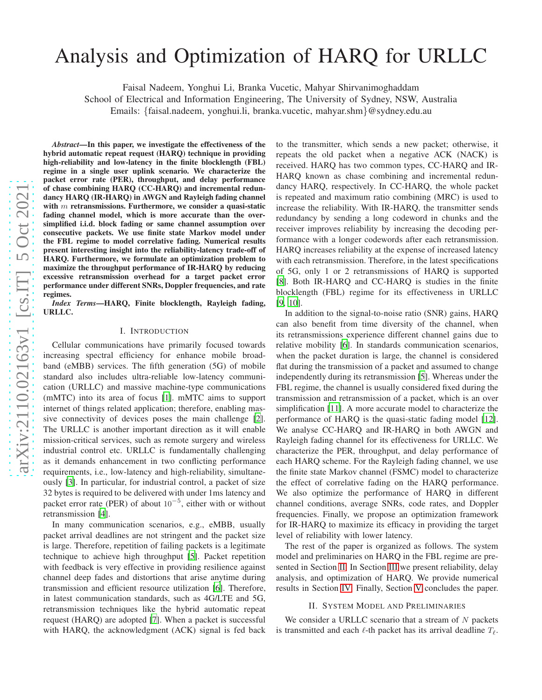# Analysis and Optimization of HARQ for URLLC

Faisal Nadeem, Yonghui Li, Branka Vucetic, Mahyar Shirvanimoghaddam

School of Electrical and Information Engineering, The University of Sydney, NSW, Australia

Emails: {faisal.nadeem, yonghui.li, branka.vucetic, mahyar.shm }@sydney.edu.au

*Abstract*—In this paper, we investigate the effectiveness of the hybrid automatic repeat request (HARQ) technique in providing high-reliability and low-latency in the finite blocklength (FBL) regime in a single user uplink scenario. We characterize the packet error rate (PER), throughput, and delay performance of chase combining HARQ (CC-HARQ) and incremental redundancy HARQ (IR-HARQ) in AWGN and Rayleigh fading channel with  $m$  retransmissions. Furthermore, we consider a quasi-static fading channel model, which is more accurate than the oversimplified i.i.d. block fading or same channel assumption over consecutive packets. We use finite state Markov model under the FBL regime to model correlative fading. Numerical results present interesting insight into the reliability-latency trade-off of HARQ. Furthermore, we formulate an optimization problem to maximize the throughput performance of IR-HARQ by reducing excessive retransmission overhead for a target packet error performance under different SNRs, Doppler frequencies, and rate regimes.

*Index Terms*—HARQ, Finite blocklength, Rayleigh fading, URLLC.

## I. INTRODUCTION

Cellular communications have primarily focused towards increasing spectral efficiency for enhance mobile broadband (eMBB) services. The fifth generation (5G) of mobile standard also includes ultra-reliable low-latency communication (URLLC) and massive machine-type communications (mMTC) into its area of focus [\[1\]](#page-5-0). mMTC aims to support internet of things related application; therefore, enabling massive connectivity of devices poses the main challenge [\[2](#page-5-1)]. The URLLC is another important direction as it will enable mission-critical services, such as remote surgery and wireless industrial control etc. URLLC is fundamentally challengin g as it demands enhancement in two conflicting performance requirements, i.e., low-latency and high-reliability, simultaneously [\[3](#page-5-2)]. In particular, for industrial control, a packet of size 32 bytes is required to be delivered with under 1ms latency an d packet error rate (PER) of about  $10^{-5}$ , either with or without retransmission [\[4\]](#page-5-3).

In many communication scenarios, e.g., eMBB, usually packet arrival deadlines are not stringent and the packet size is large. Therefore, repetition of failing packets is a legitimate technique to achieve high throughput [\[5\]](#page-5-4). Packet repetitio n with feedback is very effective in providing resilience against channel deep fades and distortions that arise anytime durin g transmission and efficient resource utilization [\[6\]](#page-5-5). Therefore, in latest communication standards, such as 4G/LTE and 5G, retransmission techniques like the hybrid automatic repea t request (HARQ) are adopted [\[7\]](#page-5-6). When a packet is successful with HARQ, the acknowledgment (ACK) signal is fed back

to the transmitter, which sends a new packet; otherwise, it repeats the old packet when a negative ACK (NACK) is received. HARQ has two common types, CC-HARQ and IR-HARQ known as chase combining and incremental redundancy HARQ, respectively. In CC-HARQ, the whole packet is repeated and maximum ratio combining (MRC) is used to increase the reliability. With IR-HARQ, the transmitter sends redundancy by sending a long codeword in chunks and the receiver improves reliability by increasing the decoding performance with a longer codewords after each retransmission. HARQ increases reliability at the expense of increased latency with each retransmission. Therefore, in the latest specifications of 5G, only 1 or 2 retransmissions of HARQ is supported [\[8](#page-5-7)]. Both IR-HARQ and CC-HARQ is studies in the finite blocklength (FBL) regime for its effectiveness in URLLC [\[9](#page-5-8), [10](#page-5-9)].

In addition to the signal-to-noise ratio (SNR) gains, HARQ can also benefit from time diversity of the channel, when its retransmissions experience different channel gains due to relative mobility [\[6](#page-5-5)]. In standards communication scenarios, when the packet duration is large, the channel is considered flat during the transmission of a packet and assumed to change independently during its retransmission [\[5](#page-5-4)]. Whereas under the FBL regime, the channel is usually considered fixed during the transmission and retransmission of a packet, which is an ove r simplification [\[11](#page-5-10)]. A more accurate model to characterize the performance of HARQ is the quasi-static fading model [\[12](#page-5-11)]. We analyse CC-HARQ and IR-HARQ in both AWGN and Rayleigh fading channel for its effectiveness for URLLC. We characterize the PER, throughput, and delay performance of each HARQ scheme. For the Rayleigh fading channel, we use the finite state Markov channel (FSMC) model to characterize the effect of correlative fading on the HARQ performance. We also optimize the performance of HARQ in different channel conditions, average SNRs, code rates, and Doppler frequencies. Finally, we propose an optimization framewor k for IR-HARQ to maximize its efficacy in providing the target level of reliability with lower latency.

The rest of the paper is organized as follows. The system model and preliminaries on HARQ in the FBL regime are presented in Section [II.](#page-0-0) In Section [III](#page-2-0) we present reliability, delay analysis, and optimization of HARQ. We provide numerical results in Section [IV.](#page-2-1) Finally, Section [V](#page-5-12) concludes the paper.

## II. SYSTEM MODEL AND PRELIMINARIES

<span id="page-0-0"></span>We consider a URLLC scenario that a stream of  $N$  packets is transmitted and each  $\ell$ -th packet has its arrival deadline  $T_{\ell}$ .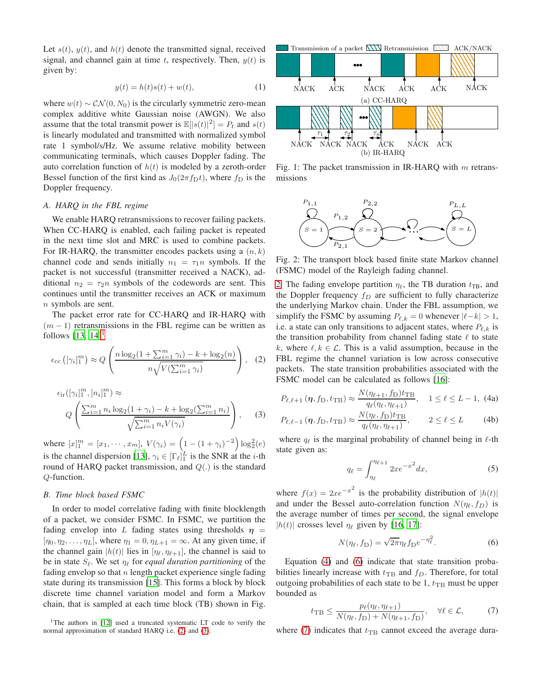Let  $s(t)$ ,  $y(t)$ , and  $h(t)$  denote the transmitted signal, received signal, and channel gain at time t, respectively. Then,  $y(t)$  is given by:

$$
y(t) = h(t)s(t) + w(t),
$$
\n(1)

where  $w(t) \sim \mathcal{CN}(0, N_0)$  is the circularly symmetric zero-mean complex additive white Gaussian noise (AWGN). We also assume that the total transmit power is  $\mathbb{E}[|s(t)|^2] = P_t$  and  $s(t)$ is linearly modulated and transmitted with normalized symbol rate 1 symbol/s/Hz. We assume relative mobility between communicating terminals, which causes Doppler fading. The auto correlation function of  $h(t)$  is modeled by a zeroth-order Bessel function of the first kind as  $J_0(2\pi f_D t)$ , where  $f_D$  is the Doppler frequency.

# *A. HARQ in the FBL regime*

We enable HARO retransmissions to recover failing packets. When CC-HARQ is enabled, each failing packet is repeated in the next time slot and MRC is used to combine packets. For IR-HARQ, the transmitter encodes packets using a  $(n, k)$ channel code and sends initially  $n_1 = \tau_1 n$  symbols. If the packet is not successful (transmitter received a NACK), additional  $n_2 = \tau_2 n$  symbols of the codewords are sent. This continues until the transmitter receives an ACK or maximum n symbols are sent.

The packet error rate for CC-HARQ and IR-HARQ with  $(m - 1)$  retransmissions in the FBL regime can be written as follows  $[13, 14]$  $[13, 14]$  $[13, 14]$ <sup>[1](#page-1-0)</sup>

$$
\epsilon_{\text{cc}}\left([\gamma_i]_1^m\right) \approx Q\left(\frac{n\log_2(1+\sum_{i=1}^m \gamma_i)-k+\log_2(n)}{n\sqrt{V(\sum_{i=1}^m \gamma_i)}}\right),\quad(2)
$$

$$
\epsilon_{ir}([\gamma_i]_1^m, [n_i]_1^m) \approx
$$
\n
$$
Q\left(\frac{\sum_{i=1}^m n_i \log_2(1+\gamma_i) - k + \log_2(\sum_{i=1}^m n_i)}{\sqrt{\sum_{i=1}^m n_i V(\gamma_i)}}\right),
$$
\n(3)

where  $[x]_1^m = [x_1, \dots, x_m], V(\gamma_i) = \left(1 - (1 + \gamma_i)^{-2}\right) \log_2^2(e)$ is the channel dispersion [\[13\]](#page-5-13),  $\gamma_i \in [\Gamma_\ell]_1^L$  is the SNR at the *i*-th round of HARQ packet transmission, and  $Q(.)$  is the standard Q-function.

# <span id="page-1-6"></span>*B. Time block based FSMC*

In order to model correlative fading with finite blocklength of a packet, we consider FSMC. In FSMC, we partition the fading envelop into L fading states using thresholds  $\eta$  =  $[\eta_0, \eta_2, \ldots, \eta_L]$ , where  $\eta_1 = 0, \eta_{L+1} = \infty$ . At any given time, if the channel gain  $|h(t)|$  lies in  $[\eta_{\ell}, \eta_{\ell+1}]$ , the channel is said to be in state  $S_{\ell}$ . We set  $\eta_{\ell}$  for *equal duration partitioning* of the fading envelop so that  $n$  length packet experience single fading state during its transmission [\[15\]](#page-5-15). This forms a block by block discrete time channel variation model and form a Markov chain, that is sampled at each time block (TB) shown in Fig.



Fig. 1: The packet transmission in IR-HARQ with  $m$  retransmissions

<span id="page-1-3"></span>

Fig. 2: The transport block based finite state Markov channel (FSMC) model of the Rayleigh fading channel.

[2.](#page-1-3) The fading envelope partition  $\eta_{\ell}$ , the TB duration  $t_{\text{TB}}$ , and the Doppler frequency  $f_D$  are sufficient to fully characterize the underlying Markov chain. Under the FBL assumption, we simplify the FSMC by assuming  $P_{\ell,k} = 0$  whenever  $|\ell - k| > 1$ , i.e. a state can only transitions to adjacent states, where  $P_{\ell,k}$  is the transition probability from channel fading state  $\ell$  to state k, where  $\ell, k \in \mathcal{L}$ . This is a valid assumption, because in the FBL regime the channel variation is low across consecutive packets. The state transition probabilities associated with the FSMC model can be calculated as follows [\[16\]](#page-5-16):

$$
P_{\ell,\ell+1}(\eta, f_D, t_{\text{TB}}) \approx \frac{N(\eta_{\ell+1}, f_D)t_{\text{TB}}}{q_{\ell}(\eta_{\ell}, \eta_{\ell+1})}, \quad 1 \le \ell \le L-1, \text{ (4a)}
$$

<span id="page-1-2"></span>
$$
P_{\ell,\ell-1}(\eta, f_D, t_{\text{TB}}) \approx \frac{N(\eta_{\ell}, f_D) t_{\text{TB}}}{q_{\ell}(\eta_{\ell}, \eta_{\ell+1})}, \qquad 2 \le \ell \le L \qquad (4b)
$$

where  $q_{\ell}$  is the marginal probability of channel being in  $\ell$ -th state given as:

<span id="page-1-1"></span>
$$
q_{\ell} = \int_{\eta_{\ell}}^{\eta_{\ell+1}} 2xe^{-x^2} dx,\tag{5}
$$

where  $f(x) = 2xe^{-x^2}$  is the probability distribution of  $|h(t)|$ and under the Bessel auto-correlation function  $N(\eta_{\ell}, f_D)$  is the average number of times per second, the signal envelope |h(t)| crosses level  $\eta_\ell$  given by [\[16](#page-5-16), [17\]](#page-5-17):

<span id="page-1-5"></span><span id="page-1-4"></span>
$$
N(\eta_{\ell}, f_{\mathcal{D}}) = \sqrt{2\pi} \eta_{\ell} f_{\mathcal{D}} e^{-\eta_{\ell}^2}.
$$
 (6)

Equation [\(4\)](#page-1-1) and [\(6\)](#page-1-4) indicate that state transition probabilities linearly increase with  $t_{\text{TB}}$  and  $f_D$ . Therefore, for total outgoing probabilities of each state to be 1,  $t_{\text{TB}}$  must be upper bounded as

$$
t_{\rm TB} \le \frac{p_{\ell}(\eta_{\ell}, \eta_{\ell+1})}{N(\eta_{\ell}, f_{\rm D}) + N(\eta_{\ell+1}, f_{\rm D})}, \quad \forall \ell \in \mathcal{L}, \tag{7}
$$

where [\(7\)](#page-1-5) indicates that  $t_{\text{TB}}$  cannot exceed the average dura-

<span id="page-1-0"></span><sup>&</sup>lt;sup>1</sup>The authors in  $[12]$  used a truncated systematic LT code to verify the normal approximation of standard HARQ i.e. [\(2\)](#page-1-1) and [\(3\)](#page-1-2).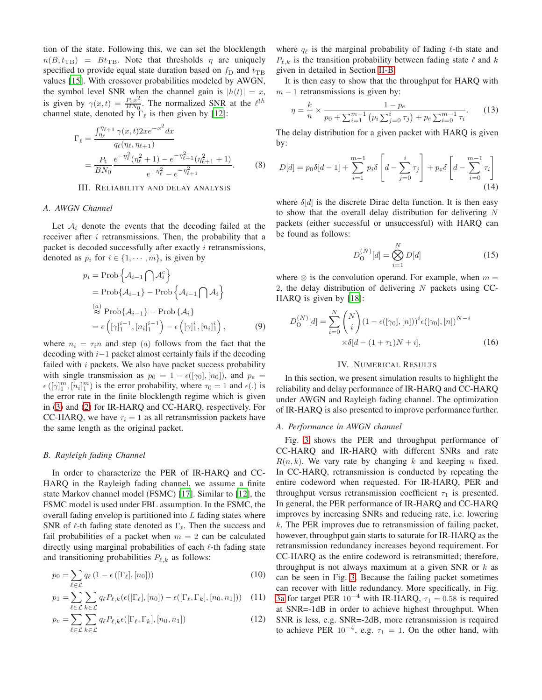tion of the state. Following this, we can set the blocklength  $n(B, t_{\text{TB}})$  =  $Bt_{\text{TB}}$ . Note that thresholds  $\eta$  are uniquely specified to provide equal state duration based on  $f<sub>D</sub>$  and  $t<sub>TB</sub>$ values [\[15\]](#page-5-15). With crossover probabilities modeled by AWGN, the symbol level SNR when the channel gain is  $|h(t)| = x$ , is given by  $\gamma(x,t) = \frac{P_t x^2}{BN_0}$  $\frac{P_{\text{t}} x^2}{BN_0}$ . The normalized SNR at the  $\ell^{th}$ channel state, denoted by  $\Gamma_{\ell}$  is then given by [\[12\]](#page-5-11):

$$
\Gamma_{\ell} = \frac{\int_{\eta_{\ell}}^{\eta_{\ell+1}} \gamma(x,t) 2xe^{-x^2} dx}{q_{\ell}(\eta_{\ell}, \eta_{\ell+1})}
$$
  
= 
$$
\frac{P_t}{BN_0} \frac{e^{-\eta_{\ell}^2}(\eta_{\ell}^2 + 1) - e^{-\eta_{\ell+1}^2}(\eta_{\ell+1}^2 + 1)}{e^{-\eta_{\ell}^2} - e^{-\eta_{\ell+1}^2}}.
$$
(8)

## III. RELIABILITY AND DELAY ANALYSIS

## <span id="page-2-0"></span>*A. AWGN Channel*

Let  $A_i$  denote the events that the decoding failed at the receiver after  $i$  retransmissions. Then, the probability that a packet is decoded successfully after exactly  $i$  retransmissions, denoted as  $p_i$  for  $i \in \{1, \dots, m\}$ , is given by

$$
p_{i} = \text{Prob}\left\{\mathcal{A}_{i-1} \bigcap \mathcal{A}_{i}^{c}\right\}
$$
  
= 
$$
\text{Prob}\left\{\mathcal{A}_{i-1}\right\} - \text{Prob}\left\{\mathcal{A}_{i-1} \bigcap \mathcal{A}_{i}\right\}
$$
  

$$
\stackrel{(a)}{\approx} \text{Prob}\left\{\mathcal{A}_{i-1}\right\} - \text{Prob}\left\{\mathcal{A}_{i}\right\}
$$
  

$$
= \epsilon \left( [\gamma]_{1}^{i-1}, [n_{i}]_{1}^{i-1} \right) - \epsilon \left( [\gamma]_{1}^{i}, [n_{i}]_{1}^{i} \right),
$$
 (9)

where  $n_i = \tau_i n$  and step (a) follows from the fact that the decoding with i−1 packet almost certainly fails if the decoding failed with  $i$  packets. We also have packet success probability with single transmission as  $p_0 = 1 - \epsilon([\gamma_0], [n_0])$ , and  $p_e =$  $\epsilon([\gamma]_1^m, [n_i]_1^m)$  is the error probability, where  $\tau_0 = 1$  and  $\epsilon(.)$  is the error rate in the finite blocklength regime which is given in [\(3\)](#page-1-2) and [\(2\)](#page-1-1) for IR-HARQ and CC-HARQ, respectively. For CC-HARQ, we have  $\tau_i = 1$  as all retransmission packets have the same length as the original packet.

#### *B. Rayleigh fading Channel*

In order to characterize the PER of IR-HARQ and CC-HARQ in the Rayleigh fading channel, we assume a finite state Markov channel model (FSMC) [\[17\]](#page-5-17). Similar to [\[12](#page-5-11)], the FSMC model is used under FBL assumption. In the FSMC, the overall fading envelop is partitioned into  $L$  fading states where SNR of  $\ell$ -th fading state denoted as  $\Gamma_{\ell}$ . Then the success and fail probabilities of a packet when  $m = 2$  can be calculated directly using marginal probabilities of each ℓ-th fading state and transitioning probabilities  $P_{\ell,k}$  as follows:

$$
p_0 = \sum_{\ell \in \mathcal{L}} q_{\ell} \left( 1 - \epsilon \left( [\Gamma_{\ell}], [n_0] \right) \right) \tag{10}
$$

$$
p_1 = \sum_{\ell \in \mathcal{L}} \sum_{k \in \mathcal{L}} q_{\ell} P_{\ell,k}(\epsilon([\Gamma_{\ell}], [n_0]) - \epsilon([\Gamma_{\ell}, \Gamma_k], [n_0, n_1])) \quad (11)
$$

$$
p_e = \sum_{\ell \in \mathcal{L}} \sum_{k \in \mathcal{L}} q_{\ell} P_{\ell,k} \epsilon([\Gamma_{\ell}, \Gamma_k], [n_0, n_1]) \tag{12}
$$

where  $q_{\ell}$  is the marginal probability of fading  $\ell$ -th state and  $P_{\ell,k}$  is the transition probability between fading state  $\ell$  and k given in detailed in Section [II-B.](#page-1-6)

It is then easy to show that the throughput for HARQ with  $m - 1$  retransmissions is given by:

$$
\eta = \frac{k}{n} \times \frac{1 - p_e}{p_0 + \sum_{i=1}^{m-1} (p_i \sum_{j=0}^i \tau_j) + p_e \sum_{i=0}^{m-1} \tau_i}.
$$
 (13)

The delay distribution for a given packet with HARQ is given by:

$$
D[d] = p_0 \delta[d-1] + \sum_{i=1}^{m-1} p_i \delta\left[d - \sum_{j=0}^{i} \tau_j\right] + p_e \delta\left[d - \sum_{i=0}^{m-1} \tau_i\right]
$$
\n(14)

where  $\delta[d]$  is the discrete Dirac delta function. It is then easy to show that the overall delay distribution for delivering  $N$ packets (either successful or unsuccessful) with HARQ can be found as follows:

$$
D_{\mathbf{O}}^{(N)}[d] = \bigotimes_{i=1}^{N} D[d] \tag{15}
$$

where  $\otimes$  is the convolution operand. For example, when  $m =$ 2, the delay distribution of delivering  $N$  packets using CC-HARQ is given by [\[18\]](#page-5-18):

$$
D_{\mathbf{O}}^{(N)}[d] = \sum_{i=0}^{N} {N \choose i} (1 - \epsilon([\gamma_0], [n]))^{i} \epsilon([\gamma_0], [n])^{N-i}
$$

$$
\times \delta[d - (1 + \tau_1)N + i],
$$
(16)

## IV. NUMERICAL RESULTS

<span id="page-2-1"></span>In this section, we present simulation results to highlight the reliability and delay performance of IR-HARQ and CC-HARQ under AWGN and Rayleigh fading channel. The optimization of IR-HARQ is also presented to improve performance further.

## *A. Performance in AWGN channel*

Fig. [3](#page-3-0) shows the PER and throughput performance of CC-HARQ and IR-HARQ with different SNRs and rate  $R(n, k)$ . We vary rate by changing k and keeping n fixed. In CC-HARQ, retransmission is conducted by repeating the entire codeword when requested. For IR-HARQ, PER and throughput versus retransmission coefficient  $\tau_1$  is presented. In general, the PER performance of IR-HARQ and CC-HARQ improves by increasing SNRs and reducing rate, i.e. lowering  $k$ . The PER improves due to retransmission of failing packet, however, throughput gain starts to saturate for IR-HARQ as the retransmission redundancy increases beyond requirement. For CC-HARQ as the entire codeword is retransmitted; therefore, throughput is not always maximum at a given SNR or  $k$  as can be seen in Fig. [3.](#page-3-0) Because the failing packet sometimes can recover with little redundancy. More specifically, in Fig. [3a](#page-3-0) for target PER  $10^{-4}$  with IR-HARQ,  $\tau_1 = 0.58$  is required at SNR=-1dB in order to achieve highest throughput. When SNR is less, e.g. SNR=-2dB, more retransmission is required to achieve PER  $10^{-4}$ , e.g.  $\tau_1 = 1$ . On the other hand, with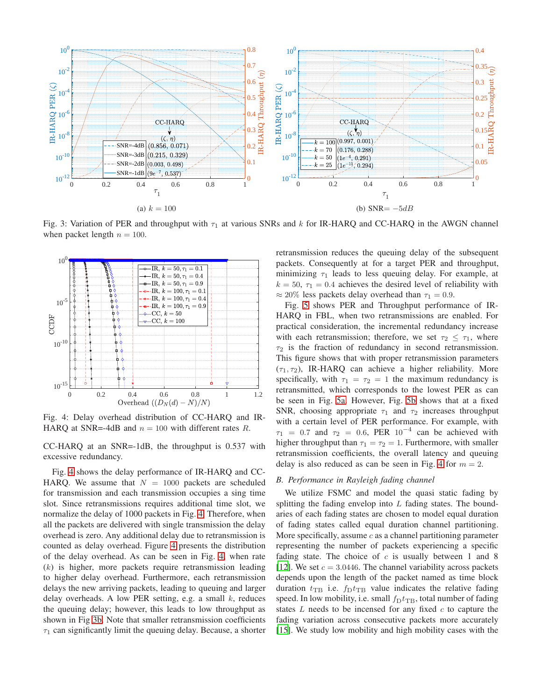<span id="page-3-0"></span>

<span id="page-3-1"></span>Fig. 3: Variation of PER and throughput with  $\tau_1$  at various SNRs and k for IR-HARQ and CC-HARQ in the AWGN channel when packet length  $n = 100$ .



Fig. 4: Delay overhead distribution of CC-HARQ and IR-HARQ at SNR=-4dB and  $n = 100$  with different rates R.

CC-HARQ at an SNR=-1dB, the throughput is 0.537 with excessive redundancy.

Fig. [4](#page-3-1) shows the delay performance of IR-HARQ and CC-HARQ. We assume that  $N = 1000$  packets are scheduled for transmission and each transmission occupies a sing time slot. Since retransmissions requires additional time slot, we normalize the delay of 1000 packets in Fig. [4.](#page-3-1) Therefore, when all the packets are delivered with single transmission the delay overhead is zero. Any additional delay due to retransmission is counted as delay overhead. Figure [4](#page-3-1) presents the distribution of the delay overhead. As can be seen in Fig. [4,](#page-3-1) when rate  $(k)$  is higher, more packets require retransmission leading to higher delay overhead. Furthermore, each retransmission delays the new arriving packets, leading to queuing and larger delay overheads. A low PER setting, e.g. a small  $k$ , reduces the queuing delay; however, this leads to low throughput as shown in Fig [3b.](#page-3-0) Note that smaller retransmission coefficients  $\tau_1$  can significantly limit the queuing delay. Because, a shorter

retransmission reduces the queuing delay of the subsequent packets. Consequently at for a target PER and throughput, minimizing  $\tau_1$  leads to less queuing delay. For example, at  $k = 50$ ,  $\tau_1 = 0.4$  achieves the desired level of reliability with  $\approx$  20% less packets delay overhead than  $\tau_1 = 0.9$ .

Fig. [5](#page-4-0) shows PER and Throughput performance of IR-HARQ in FBL, when two retransmissions are enabled. For practical consideration, the incremental redundancy increase with each retransmission; therefore, we set  $\tau_2 \leq \tau_1$ , where  $\tau_2$  is the fraction of redundancy in second retransmission. This figure shows that with proper retransmission parameters  $(\tau_1, \tau_2)$ , IR-HARQ can achieve a higher reliability. More specifically, with  $\tau_1 = \tau_2 = 1$  the maximum redundancy is retransmitted, which corresponds to the lowest PER as can be seen in Fig. [5a.](#page-4-0) However, Fig. [5b](#page-4-0) shows that at a fixed SNR, choosing appropriate  $\tau_1$  and  $\tau_2$  increases throughput with a certain level of PER performance. For example, with  $\tau_1$  = 0.7 and  $\tau_2$  = 0.6, PER 10<sup>-4</sup> can be achieved with higher throughput than  $\tau_1 = \tau_2 = 1$ . Furthermore, with smaller retransmission coefficients, the overall latency and queuing delay is also reduced as can be seen in Fig. [4](#page-3-1) for  $m = 2$ .

## *B. Performance in Rayleigh fading channel*

We utilize FSMC and model the quasi static fading by splitting the fading envelop into  $L$  fading states. The boundaries of each fading states are chosen to model equal duration of fading states called equal duration channel partitioning. More specifically, assume  $c$  as a channel partitioning parameter representing the number of packets experiencing a specific fading state. The choice of  $c$  is usually between 1 and 8 [\[12](#page-5-11)]. We set  $c = 3.0446$ . The channel variability across packets depends upon the length of the packet named as time block duration  $t_{\text{TB}}$  i.e.  $f_{\text{D}}t_{\text{TB}}$  value indicates the relative fading speed. In low mobility, i.e. small  $f<sub>D</sub>t<sub>TB</sub>$ , total number of fading states  $L$  needs to be incensed for any fixed  $c$  to capture the fading variation across consecutive packets more accurately [\[15](#page-5-15)]. We study low mobility and high mobility cases with the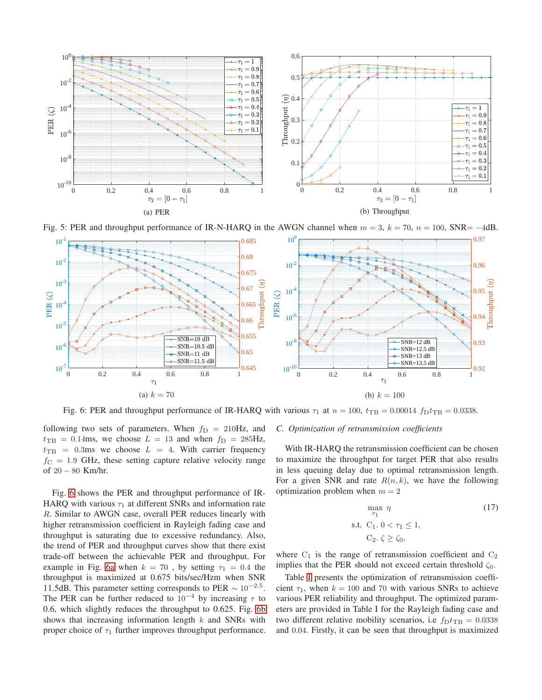<span id="page-4-0"></span>

<span id="page-4-1"></span>Fig. 5: PER and throughput performance of IR-N-HARQ in the AWGN channel when  $m = 3$ ,  $k = 70$ ,  $n = 100$ , SNR=  $-4$ dB.



Fig. 6: PER and throughput performance of IR-HARQ with various  $\tau_1$  at  $n = 100$ ,  $t_{\text{TB}} = 0.00014 f_{\text{D}}t_{\text{TB}} = 0.0338$ .

following two sets of parameters. When  $f_D = 210$ Hz, and  $t_{\text{TB}} = 0.14 \text{ms}$ , we choose  $L = 13$  and when  $f_{\text{D}} = 285 \text{Hz}$ ,  $t_{\text{TB}}$  = 0.3ms we choose  $L = 4$ . With carrier frequency  $f<sub>C</sub> = 1.9$  GHz, these setting capture relative velocity range of 20 − 80 Km/hr.

Fig. [6](#page-4-1) shows the PER and throughput performance of IR-HARQ with various  $\tau_1$  at different SNRs and information rate R. Similar to AWGN case, overall PER reduces linearly with higher retransmission coefficient in Rayleigh fading case and throughput is saturating due to excessive redundancy. Also, the trend of PER and throughput curves show that there exist trade-off between the achievable PER and throughput. For example in Fig. [6a](#page-4-1) when  $k = 70$ , by setting  $\tau_1 = 0.4$  the throughput is maximized at 0.675 bits/sec/Hzm when SNR 11.5dB. This parameter setting corresponds to PER  $\sim 10^{-2.5}$ . The PER can be further reduced to  $10^{-4}$  by increasing  $\tau$  to 0.6, which slightly reduces the throughput to 0.625. Fig. [6b](#page-4-1) shows that increasing information length  $k$  and SNRs with proper choice of  $\tau_1$  further improves throughput performance.

## *C. Optimization of retransmission coefficients*

With IR-HARQ the retransmission coefficient can be chosen to maximize the throughput for target PER that also results in less queuing delay due to optimal retransmission length. For a given SNR and rate  $R(n, k)$ , we have the following optimization problem when  $m = 2$ 

$$
\max_{\tau_1} \eta
$$
\n
$$
\text{s.t. } C_1 \cdot 0 < \tau_1 \le 1,
$$
\n
$$
C_2 \cdot \zeta \ge \zeta_0,
$$
\n
$$
(17)
$$

where  $C_1$  is the range of retransmission coefficient and  $C_2$ implies that the PER should not exceed certain threshold  $\zeta_0$ .

Table [I](#page-5-19) presents the optimization of retransmission coefficient  $\tau_1$ , when  $k = 100$  and 70 with various SNRs to achieve various PER reliability and throughput. The optimized parameters are provided in Table I for the Rayleigh fading case and two different relative mobility scenarios, i.e  $f_{\text{D}}t_{\text{TB}} = 0.0338$ and 0.04. Firstly, it can be seen that throughput is maximized